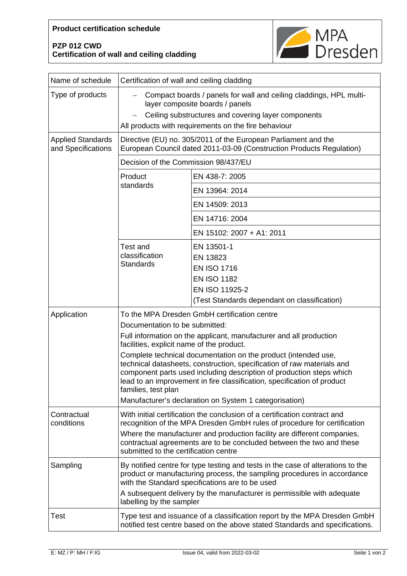## **Product certification schedule**

## **PZP 012 CWD Certification of wall and ceiling cladding**



| Name of schedule                               | Certification of wall and ceiling cladding                                                                                                                                                                                                                                                                                                                                                                                                                                                                                                                                        |                                                                                                                                      |
|------------------------------------------------|-----------------------------------------------------------------------------------------------------------------------------------------------------------------------------------------------------------------------------------------------------------------------------------------------------------------------------------------------------------------------------------------------------------------------------------------------------------------------------------------------------------------------------------------------------------------------------------|--------------------------------------------------------------------------------------------------------------------------------------|
| Type of products                               | Compact boards / panels for wall and ceiling claddings, HPL multi-<br>layer composite boards / panels<br>Ceiling substructures and covering layer components<br>All products with requirements on the fire behaviour                                                                                                                                                                                                                                                                                                                                                              |                                                                                                                                      |
| <b>Applied Standards</b><br>and Specifications | Directive (EU) no. 305/2011 of the European Parliament and the<br>European Council dated 2011-03-09 (Construction Products Regulation)                                                                                                                                                                                                                                                                                                                                                                                                                                            |                                                                                                                                      |
|                                                | Decision of the Commission 98/437/EU                                                                                                                                                                                                                                                                                                                                                                                                                                                                                                                                              |                                                                                                                                      |
|                                                | Product<br>standards                                                                                                                                                                                                                                                                                                                                                                                                                                                                                                                                                              | EN 438-7: 2005                                                                                                                       |
|                                                |                                                                                                                                                                                                                                                                                                                                                                                                                                                                                                                                                                                   | EN 13964: 2014                                                                                                                       |
|                                                |                                                                                                                                                                                                                                                                                                                                                                                                                                                                                                                                                                                   | EN 14509: 2013                                                                                                                       |
|                                                |                                                                                                                                                                                                                                                                                                                                                                                                                                                                                                                                                                                   | EN 14716: 2004                                                                                                                       |
|                                                |                                                                                                                                                                                                                                                                                                                                                                                                                                                                                                                                                                                   | EN 15102: 2007 + A1: 2011                                                                                                            |
|                                                | <b>Test and</b><br>classification<br><b>Standards</b>                                                                                                                                                                                                                                                                                                                                                                                                                                                                                                                             | EN 13501-1<br>EN 13823<br><b>EN ISO 1716</b><br><b>EN ISO 1182</b><br>EN ISO 11925-2<br>(Test Standards dependant on classification) |
| Application                                    | To the MPA Dresden GmbH certification centre<br>Documentation to be submitted:<br>Full information on the applicant, manufacturer and all production<br>facilities, explicit name of the product.<br>Complete technical documentation on the product (intended use,<br>technical datasheets, construction, specification of raw materials and<br>component parts used including description of production steps which<br>lead to an improvement in fire classification, specification of product<br>families, test plan<br>Manufacturer's declaration on System 1 categorisation) |                                                                                                                                      |
| Contractual<br>conditions                      | With initial certification the conclusion of a certification contract and<br>recognition of the MPA Dresden GmbH rules of procedure for certification<br>Where the manufacturer and production facility are different companies,<br>contractual agreements are to be concluded between the two and these<br>submitted to the certification centre                                                                                                                                                                                                                                 |                                                                                                                                      |
| Sampling                                       | By notified centre for type testing and tests in the case of alterations to the<br>product or manufacturing process, the sampling procedures in accordance<br>with the Standard specifications are to be used<br>A subsequent delivery by the manufacturer is permissible with adequate<br>labelling by the sampler                                                                                                                                                                                                                                                               |                                                                                                                                      |
| Test                                           | Type test and issuance of a classification report by the MPA Dresden GmbH<br>notified test centre based on the above stated Standards and specifications.                                                                                                                                                                                                                                                                                                                                                                                                                         |                                                                                                                                      |